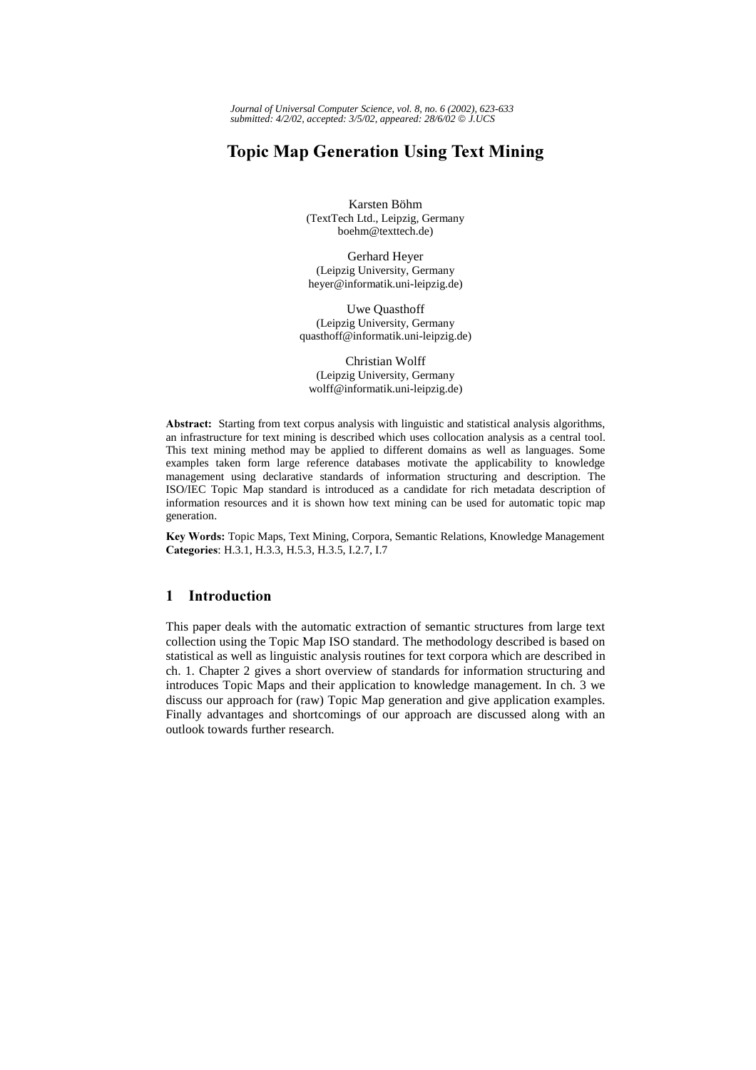*Journal of Universal Computer Science, vol. 8, no. 6 (2002), 623-633 submitted: 4/2/02, accepted: 3/5/02, appeared: 28/6/02 J.UCS*

# **Topic Map Generation Using Text Mining**

Karsten Böhm (TextTech Ltd., Leipzig, Germany boehm@texttech.de)

Gerhard Heyer (Leipzig University, Germany heyer@informatik.uni-leipzig.de)

Uwe Quasthoff (Leipzig University, Germany quasthoff@informatik.uni-leipzig.de)

Christian Wolff (Leipzig University, Germany wolff@informatik.uni-leipzig.de)

Abstract: Starting from text corpus analysis with linguistic and statistical analysis algorithms, an infrastructure for text mining is described which uses collocation analysis as a central tool. This text mining method may be applied to different domains as well as languages. Some examples taken form large reference databases motivate the applicability to knowledge management using declarative standards of information structuring and description. The ISO/IEC Topic Map standard is introduced as a candidate for rich metadata description of information resources and it is shown how text mining can be used for automatic topic map generation.

Key Words: Topic Maps, Text Mining, Corpora, Semantic Relations, Knowledge Management Categories: H.3.1, H.3.3, H.5.3, H.3.5, I.2.7, I.7

# 1 Introduction

This paper deals with the automatic extraction of semantic structures from large text collection using the Topic Map ISO standard. The methodology described is based on statistical as well as linguistic analysis routines for text corpora which are described in ch. 1. Chapter 2 gives a short overview of standards for information structuring and introduces Topic Maps and their application to knowledge management. In ch. 3 we discuss our approach for (raw) Topic Map generation and give application examples. Finally advantages and shortcomings of our approach are discussed along with an outlook towards further research.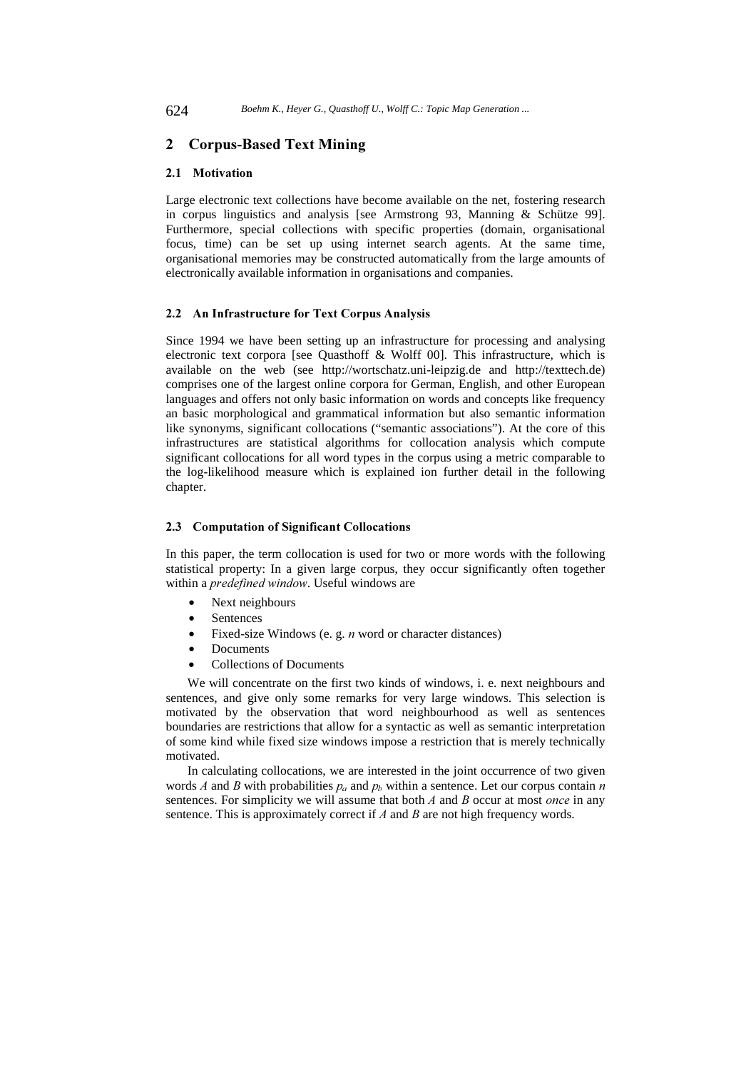# 2 Corpus-Based Text Mining

#### 2.1 Motivation

Large electronic text collections have become available on the net, fostering research in corpus linguistics and analysis [see Armstrong 93, Manning & Schütze 99]. Furthermore, special collections with specific properties (domain, organisational focus, time) can be set up using internet search agents. At the same time, organisational memories may be constructed automatically from the large amounts of electronically available information in organisations and companies.

### 2.2 An Infrastructure for Text Corpus Analysis

Since 1994 we have been setting up an infrastructure for processing and analysing electronic text corpora [see Quasthoff & Wolff 00]. This infrastructure, which is available on the web (see http://wortschatz.uni-leipzig.de and http://texttech.de) comprises one of the largest online corpora for German, English, and other European languages and offers not only basic information on words and concepts like frequency an basic morphological and grammatical information but also semantic information like synonyms, significant collocations ("semantic associations"). At the core of this infrastructures are statistical algorithms for collocation analysis which compute significant collocations for all word types in the corpus using a metric comparable to the log-likelihood measure which is explained ion further detail in the following chapter.

### 2.3 Computation of Significant Collocations

In this paper, the term collocation is used for two or more words with the following statistical property: In a given large corpus, they occur significantly often together within a *predefined window*. Useful windows are

- Next neighbours
- **Sentences**
- Fixed-size Windows (e. g.  $n$  word or character distances)
- **Documents**
- Collections of Documents

We will concentrate on the first two kinds of windows, i. e. next neighbours and sentences, and give only some remarks for very large windows. This selection is motivated by the observation that word neighbourhood as well as sentences boundaries are restrictions that allow for a syntactic as well as semantic interpretation of some kind while fixed size windows impose a restriction that is merely technically motivated.

In calculating collocations, we are interested in the joint occurrence of two given words A and B with probabilities  $p_a$  and  $p_b$  within a sentence. Let our corpus contain  $n$ sentences. For simplicity we will assume that both  $A$  and  $B$  occur at most once in any sentence. This is approximately correct if  $A$  and  $B$  are not high frequency words.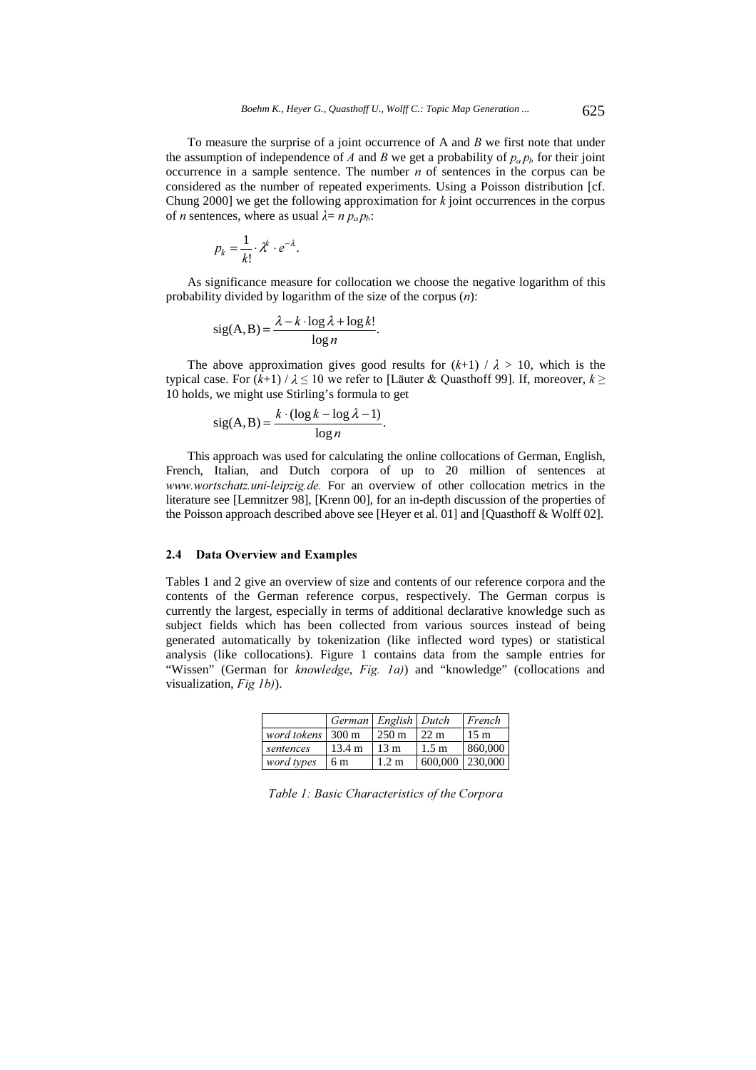To measure the surprise of a joint occurrence of A and  $B$  we first note that under the assumption of independence of A and B we get a probability of  $p_a p_b$  for their joint occurrence in a sample sentence. The number  $n$  of sentences in the corpus can be considered as the number of repeated experiments. Using a Poisson distribution [cf. Chung 2000] we get the following approximation for  $k$  joint occurrences in the corpus of *n* sentences, where as usual  $\lambda = n p_a p_b$ :

$$
p_k = \frac{1}{k!} \cdot \lambda^k \cdot e^{-\lambda}.
$$

As significance measure for collocation we choose the negative logarithm of this probability divided by logarithm of the size of the corpus  $(n)$ :

$$
sig(A, B) = \frac{\lambda - k \cdot \log \lambda + \log k!}{\log n}.
$$

The above approximation gives good results for  $(k+1) / \lambda > 10$ , which is the typical case. For  $(k+1) / \lambda \leq 10$  we refer to [Läuter & Quasthoff 99]. If, moreover,  $k \geq 1$ 10 holds, we might use Stirling's formula to get

$$
sig(A, B) = \frac{k \cdot (\log k - \log \lambda - 1)}{\log n}.
$$

This approach was used for calculating the online collocations of German, English, French, Italian, and Dutch corpora of up to 20 million of sentences at www.wortschatz.uni-leipzig.de. For an overview of other collocation metrics in the literature see [Lemnitzer 98], [Krenn 00], for an in-depth discussion of the properties of the Poisson approach described above see [Heyer et al. 01] and [Quasthoff & Wolff 02].

#### 2.4 Data Overview and Examples

Tables 1 and 2 give an overview of size and contents of our reference corpora and the contents of the German reference corpus, respectively. The German corpus is currently the largest, especially in terms of additional declarative knowledge such as subject fields which has been collected from various sources instead of being generated automatically by tokenization (like inflected word types) or statistical analysis (like collocations). Figure 1 contains data from the sample entries for "Wissen" (German for knowledge, Fig. 1a)) and "knowledge" (collocations and visualization,  $Fig 1b$ ).

|                                      | German English Dutch |                  |                   | French         |
|--------------------------------------|----------------------|------------------|-------------------|----------------|
| <i>word tokens</i> $ 300 \text{ m} $ |                      | $250 \text{ m}$  | $22 \text{ m}$    | $15 \text{ m}$ |
| sentences                            | $13.4 \text{ m}$     | 13 <sub>m</sub>  | 1.5 m             | 860,000        |
| word types                           | $\frac{1}{6}$ m      | 1.2 <sub>m</sub> | 600,000   230,000 |                |

Table 1: Basic Characteristics of the Corpora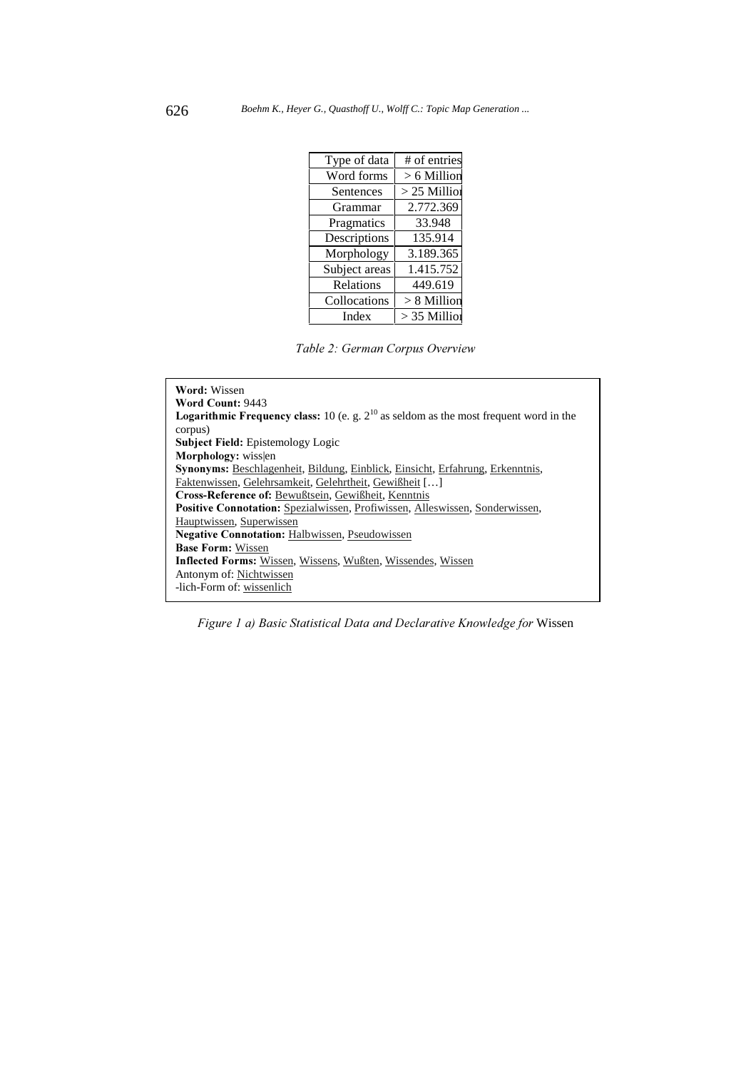| Type of data  | # of entries   |
|---------------|----------------|
| Word forms    | $> 6$ Million  |
| Sentences     | $>$ 25 Million |
| Grammar       | 2.772.369      |
| Pragmatics    | 33.948         |
| Descriptions  | 135.914        |
| Morphology    | 3.189.365      |
| Subject areas | 1.415.752      |
| Relations     | 449.619        |
| Collocations  | $> 8$ Million  |
| Index         | $>$ 35 Million |

Table 2: German Corpus Overview

| Word: Wissen                                                                                      |  |  |  |
|---------------------------------------------------------------------------------------------------|--|--|--|
| Word Count: 9443                                                                                  |  |  |  |
| <b>Logarithmic Frequency class:</b> 10 (e. g. $2^{10}$ as seldom as the most frequent word in the |  |  |  |
| corpus)                                                                                           |  |  |  |
| <b>Subject Field:</b> Epistemology Logic                                                          |  |  |  |
| Morphology: wisslen                                                                               |  |  |  |
| <b>Synonyms:</b> Beschlagenheit, Bildung, Einblick, Einsicht, Erfahrung, Erkenntnis,              |  |  |  |
| Faktenwissen, Gelehrsamkeit, Gelehrtheit, Gewißheit []                                            |  |  |  |
| Cross-Reference of: Bewußtsein, Gewißheit, Kenntnis                                               |  |  |  |
| <b>Positive Connotation:</b> Spezialwissen, Profiwissen, Alleswissen, Sonderwissen,               |  |  |  |
| Hauptwissen, Superwissen                                                                          |  |  |  |
| <b>Negative Connotation:</b> Halbwissen, Pseudowissen                                             |  |  |  |
| <b>Base Form: Wissen</b>                                                                          |  |  |  |
| <b>Inflected Forms:</b> Wissen, Wissens, Wußten, Wissendes, Wissen                                |  |  |  |
| Antonym of: Nichtwissen                                                                           |  |  |  |
| -lich-Form of: wissenlich                                                                         |  |  |  |
|                                                                                                   |  |  |  |

Figure 1 a) Basic Statistical Data and Declarative Knowledge for Wissen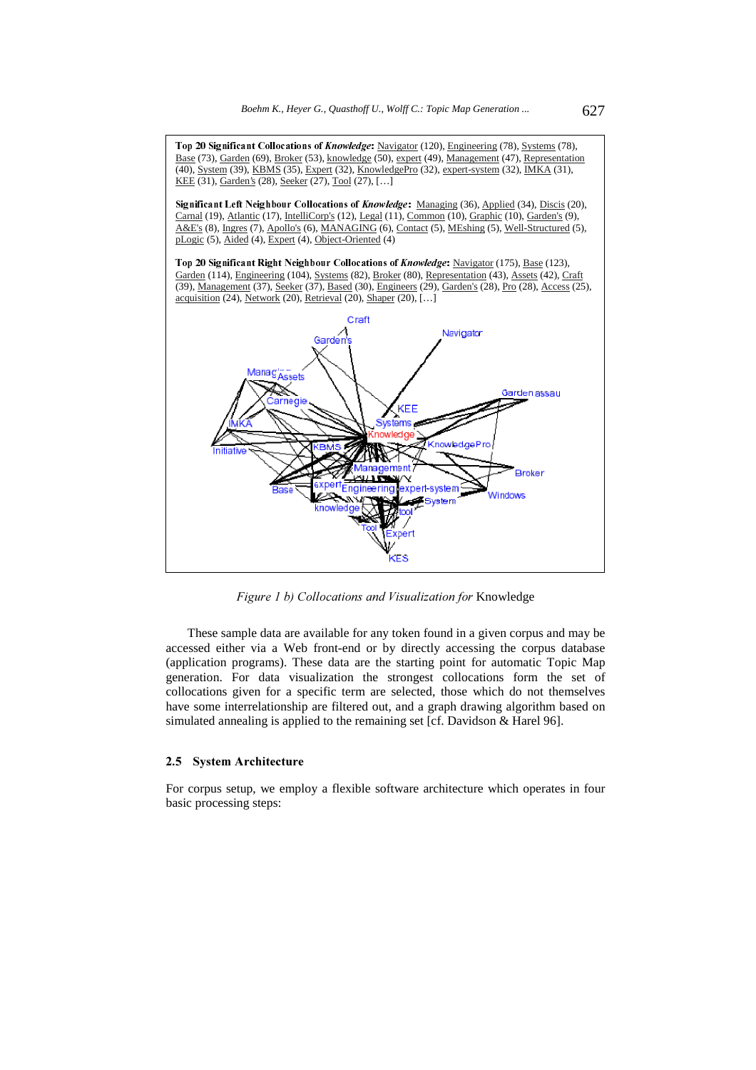

Figure 1 b) Collocations and Visualization for Knowledge

These sample data are available for any token found in a given corpus and may be accessed either via a Web front-end or by directly accessing the corpus database (application programs). These data are the starting point for automatic Topic Map generation. For data visualization the strongest collocations form the set of collocations given for a specific term are selected, those which do not themselves have some interrelationship are filtered out, and a graph drawing algorithm based on simulated annealing is applied to the remaining set [cf. Davidson & Harel 96].

#### 2.5 System Architecture

For corpus setup, we employ a flexible software architecture which operates in four basic processing steps: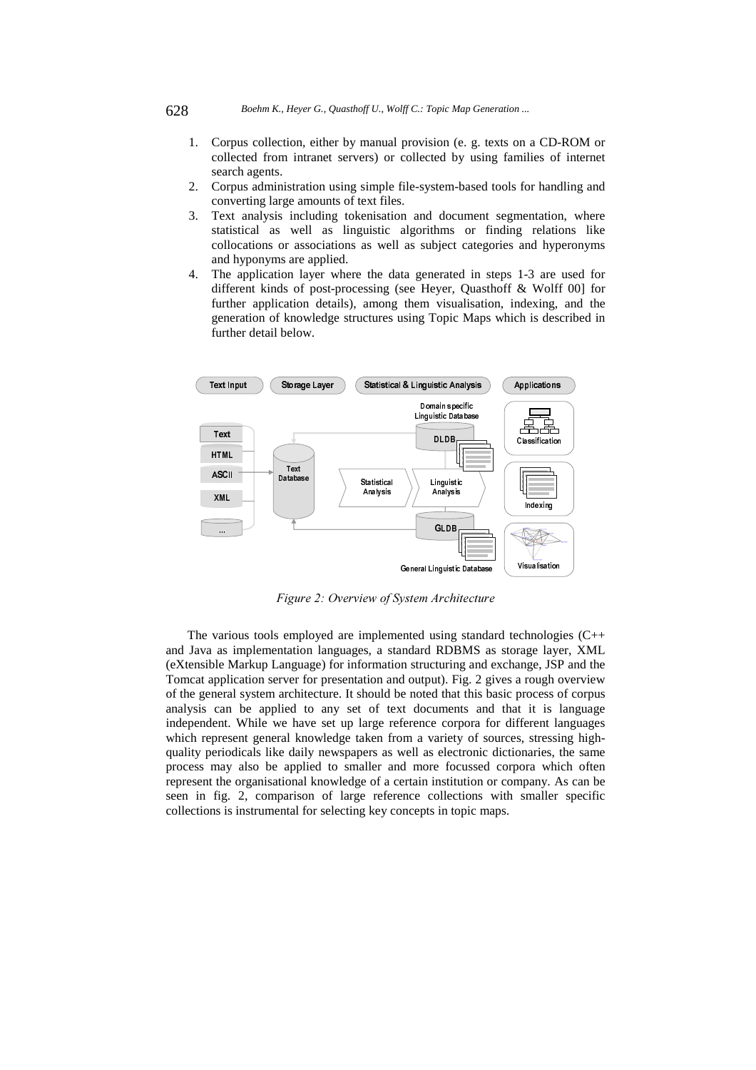- 1. Corpus collection, either by manual provision (e. g. texts on a CD-ROM or collected from intranet servers) or collected by using families of internet search agents.
- 2. Corpus administration using simple file-system-based tools for handling and converting large amounts of text files.
- 3. Text analysis including tokenisation and document segmentation, where statistical as well as linguistic algorithms or finding relations like collocations or associations as well as subject categories and hyperonyms and hyponyms are applied.
- 4. The application layer where the data generated in steps 1-3 are used for different kinds of post-processing (see Heyer, Quasthoff & Wolff 00] for further application details), among them visualisation, indexing, and the generation of knowledge structures using Topic Maps which is described in further detail below.



Figure 2: Overview of System Architecture

The various tools employed are implemented using standard technologies (C++ and Java as implementation languages, a standard RDBMS as storage layer, XML (eXtensible Markup Language) for information structuring and exchange, JSP and the Tomcat application server for presentation and output). Fig. 2 gives a rough overview of the general system architecture. It should be noted that this basic process of corpus analysis can be applied to any set of text documents and that it is language independent. While we have set up large reference corpora for different languages which represent general knowledge taken from a variety of sources, stressing highquality periodicals like daily newspapers as well as electronic dictionaries, the same process may also be applied to smaller and more focussed corpora which often represent the organisational knowledge of a certain institution or company. As can be seen in fig. 2, comparison of large reference collections with smaller specific collections is instrumental for selecting key concepts in topic maps.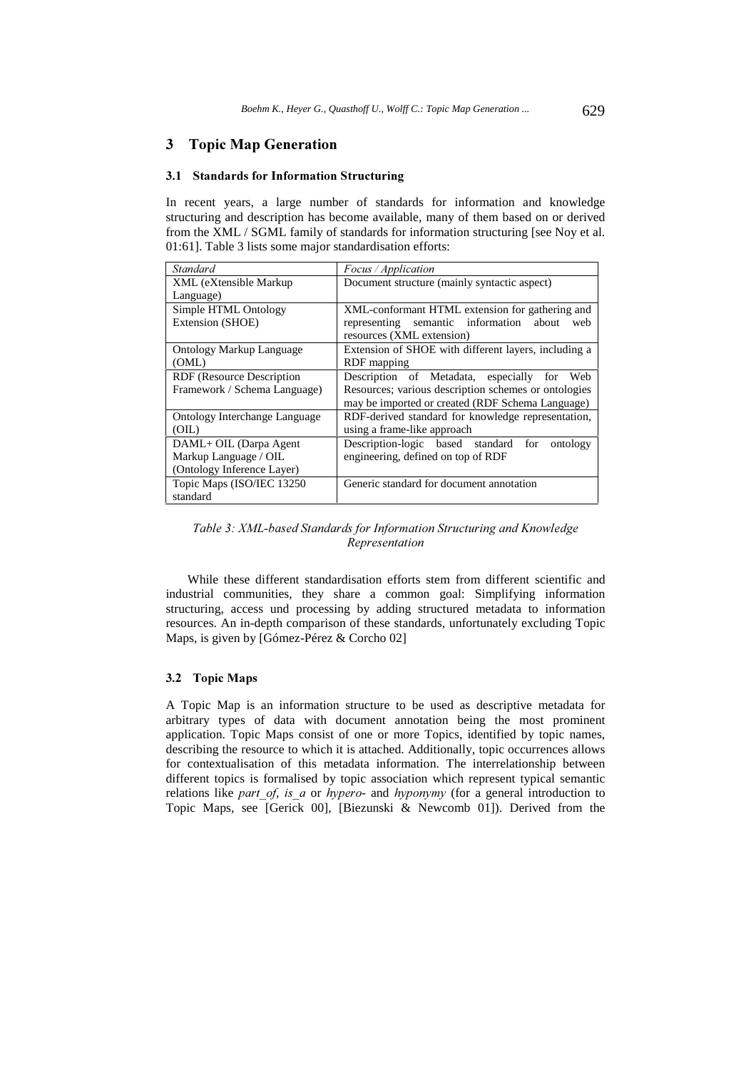# 3 Topic Map Generation

#### 3.1 Standards for Information Structuring

In recent years, a large number of standards for information and knowledge structuring and description has become available, many of them based on or derived from the XML / SGML family of standards for information structuring [see Noy et al. 01:61]. Table 3 lists some major standardisation efforts:

| <b>Standard</b>                      | Focus / Application                                  |
|--------------------------------------|------------------------------------------------------|
| XML (eXtensible Markup)              | Document structure (mainly syntactic aspect)         |
| Language)                            |                                                      |
| Simple HTML Ontology                 | XML-conformant HTML extension for gathering and      |
| Extension (SHOE)                     | semantic information<br>representing<br>about<br>web |
|                                      | resources (XML extension)                            |
| <b>Ontology Markup Language</b>      | Extension of SHOE with different layers, including a |
| (OML)                                | RDF mapping                                          |
| RDF (Resource Description            | Description of Metadata, especially<br>Web<br>for    |
| Framework / Schema Language)         | Resources; various description schemes or ontologies |
|                                      | may be imported or created (RDF Schema Language)     |
| <b>Ontology Interchange Language</b> | RDF-derived standard for knowledge representation,   |
| (OIL)                                | using a frame-like approach                          |
| DAML+ OIL (Darpa Agent               | Description-logic based standard for<br>ontology     |
| Markup Language / OIL                | engineering, defined on top of RDF                   |
| (Ontology Inference Layer)           |                                                      |
| Topic Maps (ISO/IEC 13250)           | Generic standard for document annotation             |
| standard                             |                                                      |

Table 3: XML-based Standards for Information Structuring and Knowledge Representation

While these different standardisation efforts stem from different scientific and industrial communities, they share a common goal: Simplifying information structuring, access und processing by adding structured metadata to information resources. An in-depth comparison of these standards, unfortunately excluding Topic Maps, is given by [Gómez-Pérez & Corcho 02]

### 3.2 Topic Maps

A Topic Map is an information structure to be used as descriptive metadata for arbitrary types of data with document annotation being the most prominent application. Topic Maps consist of one or more Topics, identified by topic names, describing the resource to which it is attached. Additionally, topic occurrences allows for contextualisation of this metadata information. The interrelationship between different topics is formalised by topic association which represent typical semantic relations like part of, is a or hypero- and hyponymy (for a general introduction to Topic Maps, see [Gerick 00], [Biezunski & Newcomb 01]). Derived from the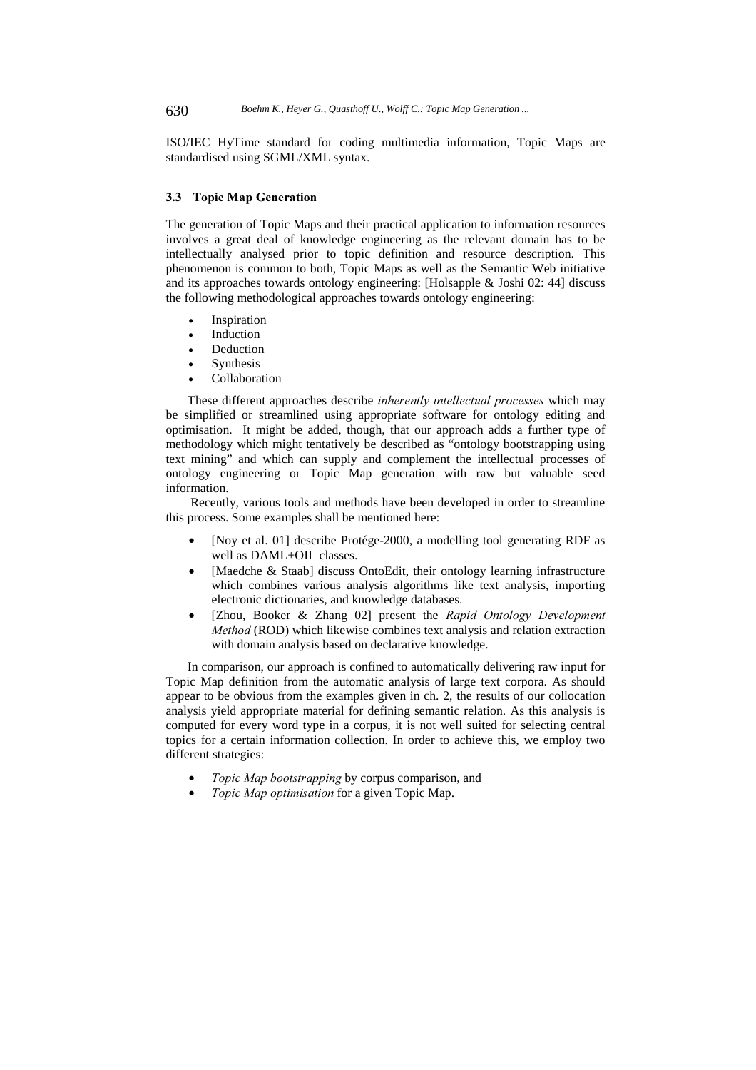ISO/IEC HyTime standard for coding multimedia information, Topic Maps are standardised using SGML/XML syntax.

### 3.3 Topic Map Generation

The generation of Topic Maps and their practical application to information resources involves a great deal of knowledge engineering as the relevant domain has to be intellectually analysed prior to topic definition and resource description. This phenomenon is common to both, Topic Maps as well as the Semantic Web initiative and its approaches towards ontology engineering: [Holsapple & Joshi 02: 44] discuss the following methodological approaches towards ontology engineering:

- **Inspiration**
- **Induction**
- **Deduction**
- **Synthesis**
- Collaboration

These different approaches describe inherently intellectual processes which may be simplified or streamlined using appropriate software for ontology editing and optimisation. It might be added, though, that our approach adds a further type of methodology which might tentatively be described as "ontology bootstrapping using text mining" and which can supply and complement the intellectual processes of ontology engineering or Topic Map generation with raw but valuable seed information.

 Recently, various tools and methods have been developed in order to streamline this process. Some examples shall be mentioned here:

- [Noy et al. 01] describe Protége-2000, a modelling tool generating RDF as well as DAML+OIL classes.
- [Maedche & Staab] discuss OntoEdit, their ontology learning infrastructure which combines various analysis algorithms like text analysis, importing electronic dictionaries, and knowledge databases.
- [Zhou, Booker & Zhang 02] present the Rapid Ontology Development Method (ROD) which likewise combines text analysis and relation extraction with domain analysis based on declarative knowledge.

In comparison, our approach is confined to automatically delivering raw input for Topic Map definition from the automatic analysis of large text corpora. As should appear to be obvious from the examples given in ch. 2, the results of our collocation analysis yield appropriate material for defining semantic relation. As this analysis is computed for every word type in a corpus, it is not well suited for selecting central topics for a certain information collection. In order to achieve this, we employ two different strategies:

- Topic Map bootstrapping by corpus comparison, and
- Topic Map optimisation for a given Topic Map.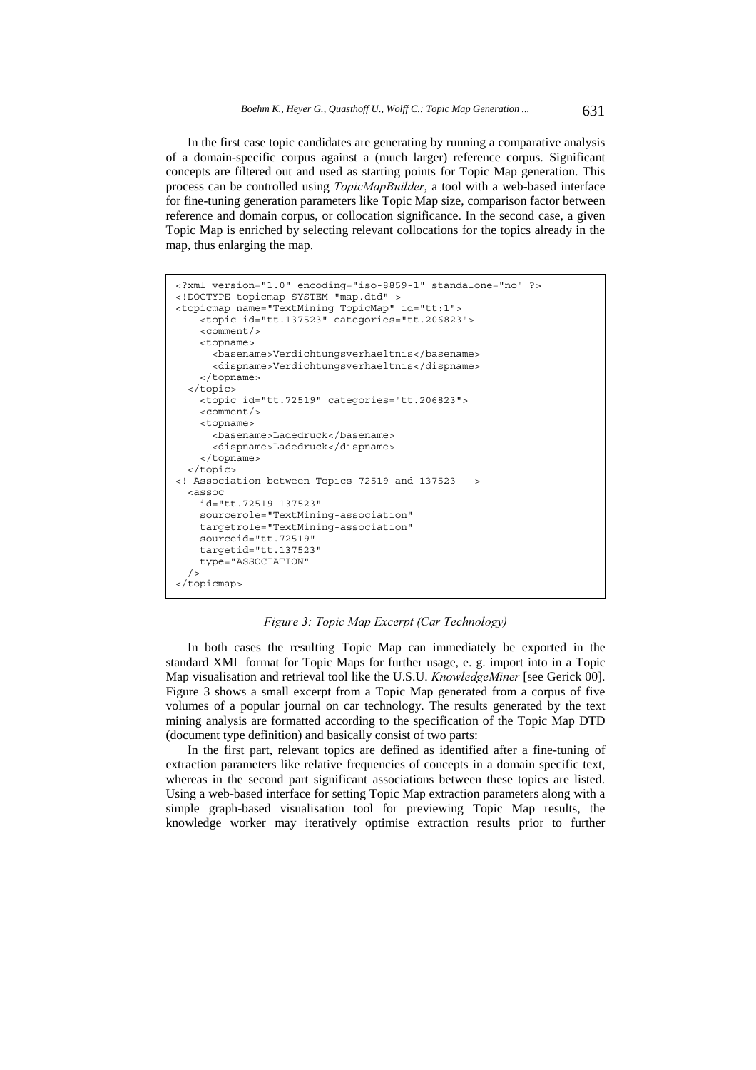In the first case topic candidates are generating by running a comparative analysis of a domain-specific corpus against a (much larger) reference corpus. Significant concepts are filtered out and used as starting points for Topic Map generation. This process can be controlled using TopicMapBuilder, a tool with a web-based interface for fine-tuning generation parameters like Topic Map size, comparison factor between reference and domain corpus, or collocation significance. In the second case, a given Topic Map is enriched by selecting relevant collocations for the topics already in the map, thus enlarging the map.

```
<?xml version="1.0" encoding="iso-8859-1" standalone="no" ?> 
<!DOCTYPE topicmap SYSTEM "map.dtd" > 
<topicmap name="TextMining TopicMap" id="tt:1"> 
     <topic id="tt.137523" categories="tt.206823"> 
     <comment/> 
     <topname> 
       <basename>Verdichtungsverhaeltnis</basename> 
       <dispname>Verdichtungsverhaeltnis</dispname> 
     </topname> 
   </topic> 
     <topic id="tt.72519" categories="tt.206823"> 
     <comment/> 
     <topname> 
       <basename>Ladedruck</basename> 
       <dispname>Ladedruck</dispname> 
    \epsilon/toppame>
   </topic> 
<!—Association between Topics 72519 and 137523 --> 
   <assoc 
     id="tt.72519-137523" 
     sourcerole="TextMining-association" 
     targetrole="TextMining-association" 
     sourceid="tt.72519" 
     targetid="tt.137523" 
     type="ASSOCIATION" 
/</topicmap>
```
Figure 3: Topic Map Excerpt (Car Technology)

In both cases the resulting Topic Map can immediately be exported in the standard XML format for Topic Maps for further usage, e. g. import into in a Topic Map visualisation and retrieval tool like the U.S.U. *KnowledgeMiner* [see Gerick 00]. Figure 3 shows a small excerpt from a Topic Map generated from a corpus of five volumes of a popular journal on car technology. The results generated by the text mining analysis are formatted according to the specification of the Topic Map DTD (document type definition) and basically consist of two parts:

In the first part, relevant topics are defined as identified after a fine-tuning of extraction parameters like relative frequencies of concepts in a domain specific text, whereas in the second part significant associations between these topics are listed. Using a web-based interface for setting Topic Map extraction parameters along with a simple graph-based visualisation tool for previewing Topic Map results, the knowledge worker may iteratively optimise extraction results prior to further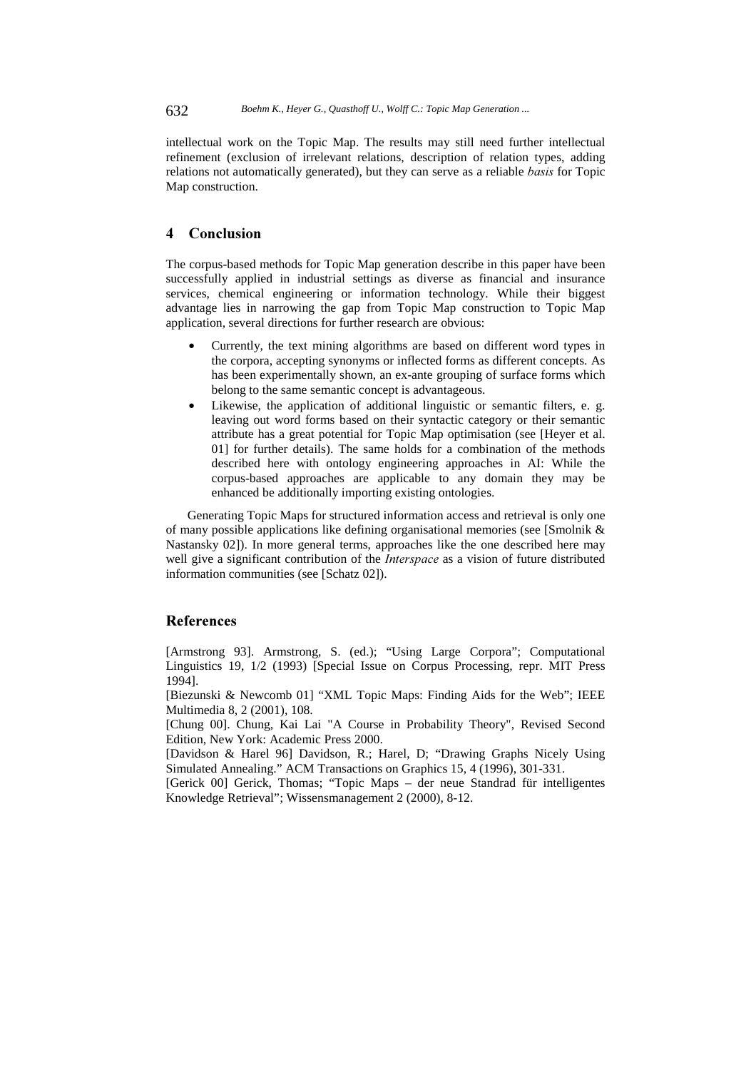intellectual work on the Topic Map. The results may still need further intellectual refinement (exclusion of irrelevant relations, description of relation types, adding relations not automatically generated), but they can serve as a reliable *basis* for Topic Map construction.

# 4 Conclusion

The corpus-based methods for Topic Map generation describe in this paper have been successfully applied in industrial settings as diverse as financial and insurance services, chemical engineering or information technology. While their biggest advantage lies in narrowing the gap from Topic Map construction to Topic Map application, several directions for further research are obvious:

- Currently, the text mining algorithms are based on different word types in the corpora, accepting synonyms or inflected forms as different concepts. As has been experimentally shown, an ex-ante grouping of surface forms which belong to the same semantic concept is advantageous.
- Likewise, the application of additional linguistic or semantic filters, e. g. leaving out word forms based on their syntactic category or their semantic attribute has a great potential for Topic Map optimisation (see [Heyer et al. 01] for further details). The same holds for a combination of the methods described here with ontology engineering approaches in AI: While the corpus-based approaches are applicable to any domain they may be enhanced be additionally importing existing ontologies.

Generating Topic Maps for structured information access and retrieval is only one of many possible applications like defining organisational memories (see [Smolnik & Nastansky 02]). In more general terms, approaches like the one described here may well give a significant contribution of the *Interspace* as a vision of future distributed information communities (see [Schatz 02]).

# References

[Armstrong 93]. Armstrong, S. (ed.); "Using Large Corpora"; Computational Linguistics 19, 1/2 (1993) [Special Issue on Corpus Processing, repr. MIT Press 1994].

[Biezunski & Newcomb 01] "XML Topic Maps: Finding Aids for the Web"; IEEE Multimedia 8, 2 (2001), 108.

[Chung 00]. Chung, Kai Lai "A Course in Probability Theory", Revised Second Edition, New York: Academic Press 2000.

[Davidson & Harel 96] Davidson, R.; Harel, D; "Drawing Graphs Nicely Using Simulated Annealing." ACM Transactions on Graphics 15, 4 (1996), 301-331.

[Gerick 00] Gerick, Thomas; "Topic Maps – der neue Standrad für intelligentes Knowledge Retrieval"; Wissensmanagement 2 (2000), 8-12.